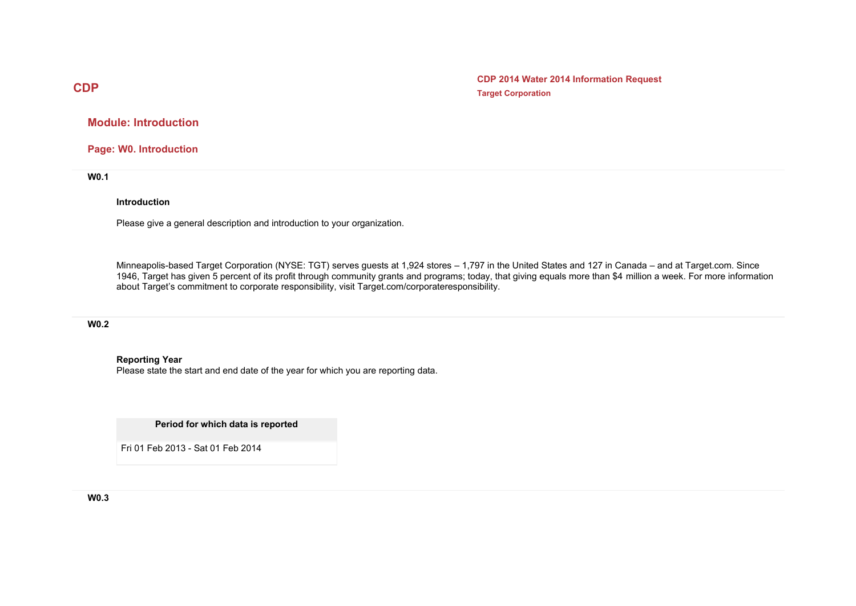**CDP 2014 Water 2014 Information Request Target Corporation**

**Module: Introduction** 

**Page: W0. Introduction** 

**W0.1** 

#### **Introduction**

Please give a general description and introduction to your organization.

Minneapolis-based Target Corporation (NYSE: TGT) serves guests at 1,924 stores – 1,797 in the United States and 127 in Canada – and at Target.com. Since 1946, Target has given 5 percent of its profit through community grants and programs; today, that giving equals more than \$4 million a week. For more information about Target's commitment to corporate responsibility, visit [Target.com/corporateresponsibility](http://Target.com/corporateresponsibility).

#### **W0.2**

#### **Reporting Year**

Please state the start and end date of the year for which you are reporting data.

**Period for which data is reported**

Fri 01 Feb 2013 - Sat 01 Feb 2014

**W0.3** 

# **CDP**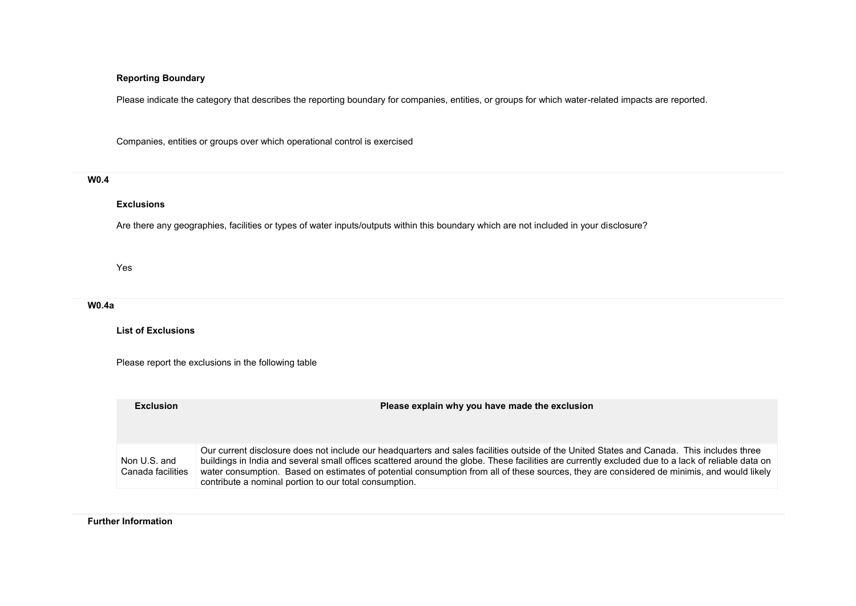## **Reporting Boundary**

Please indicate the category that describes the reporting boundary for companies, entities, or groups for which water-related impacts are reported.

Companies, entities or groups over which operational control is exercised

## **W0.4**

### **Exclusions**

Are there any geographies, facilities or types of water inputs/outputs within this boundary which are not included in your disclosure?

Yes

**W0.4a** 

**List of Exclusions** 

Please report the exclusions in the following table

| <b>Exclusion</b>                  | Please explain why you have made the exclusion                                                                                                                                                                                                                                                                                                                                                                                                                                                           |
|-----------------------------------|----------------------------------------------------------------------------------------------------------------------------------------------------------------------------------------------------------------------------------------------------------------------------------------------------------------------------------------------------------------------------------------------------------------------------------------------------------------------------------------------------------|
| Non U.S. and<br>Canada facilities | Our current disclosure does not include our headquarters and sales facilities outside of the United States and Canada. This includes three<br>buildings in India and several small offices scattered around the globe. These facilities are currently excluded due to a lack of reliable data on<br>water consumption. Based on estimates of potential consumption from all of these sources, they are considered de minimis, and would likely<br>contribute a nominal portion to our total consumption. |

**Further Information**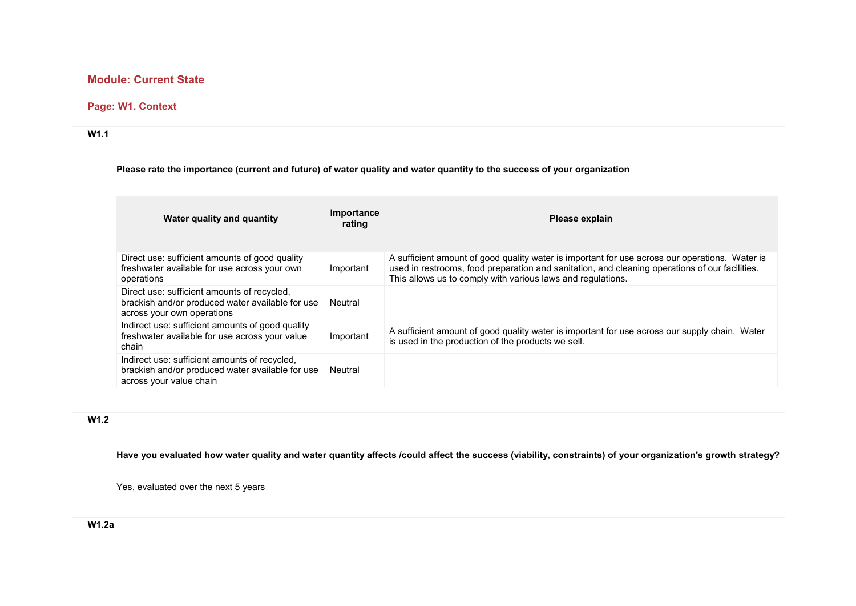# **Module: Current State**

## **Page: W1. Context**

### **W1.1**

## **Please rate the importance (current and future) of water quality and water quantity to the success of your organization**

| Water quality and quantity                                                                                                    | Importance<br>rating | Please explain                                                                                                                                                                                                                                                  |
|-------------------------------------------------------------------------------------------------------------------------------|----------------------|-----------------------------------------------------------------------------------------------------------------------------------------------------------------------------------------------------------------------------------------------------------------|
| Direct use: sufficient amounts of good quality<br>freshwater available for use across your own<br>operations                  | Important            | A sufficient amount of good quality water is important for use across our operations. Water is<br>used in restrooms, food preparation and sanitation, and cleaning operations of our facilities.<br>This allows us to comply with various laws and regulations. |
| Direct use: sufficient amounts of recycled,<br>brackish and/or produced water available for use<br>across your own operations | Neutral              |                                                                                                                                                                                                                                                                 |
| Indirect use: sufficient amounts of good quality<br>freshwater available for use across your value<br>chain                   | Important            | A sufficient amount of good quality water is important for use across our supply chain. Water<br>is used in the production of the products we sell.                                                                                                             |
| Indirect use: sufficient amounts of recycled,<br>brackish and/or produced water available for use<br>across your value chain  | Neutral              |                                                                                                                                                                                                                                                                 |

# **W1.2**

**Have you evaluated how water quality and water quantity affects /could affect the success (viability, constraints) of your organization's growth strategy?**

Yes, evaluated over the next 5 years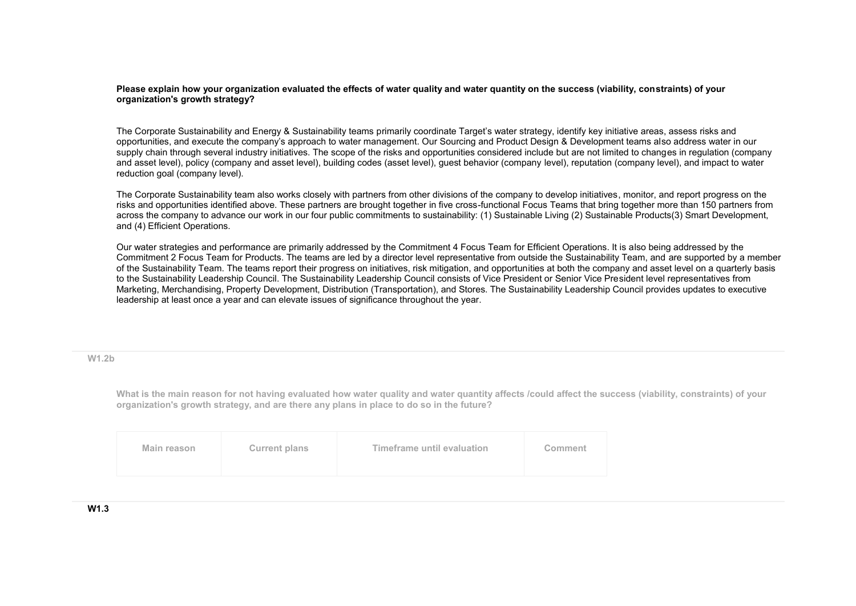**Please explain how your organization evaluated the effects of water quality and water quantity on the success (viability, constraints) of your organization's growth strategy?**

The Corporate Sustainability and Energy & Sustainability teams primarily coordinate Target's water strategy, identify key initiative areas, assess risks and opportunities, and execute the company's approach to water management. Our Sourcing and Product Design & Development teams also address water in our supply chain through several industry initiatives. The scope of the risks and opportunities considered include but are not limited to changes in regulation (company and asset level), policy (company and asset level), building codes (asset level), guest behavior (company level), reputation (company level), and impact to water reduction goal (company level).

The Corporate Sustainability team also works closely with partners from other divisions of the company to develop initiatives, monitor, and report progress on the risks and opportunities identified above. These partners are brought together in five cross-functional Focus Teams that bring together more than 150 partners from across the company to advance our work in our four public commitments to sustainability: (1) Sustainable Living (2) Sustainable Products(3) Smart Development, and (4) Efficient Operations.

Our water strategies and performance are primarily addressed by the Commitment 4 Focus Team for Efficient Operations. It is also being addressed by the Commitment 2 Focus Team for Products. The teams are led by a director level representative from outside the Sustainability Team, and are supported by a member of the Sustainability Team. The teams report their progress on initiatives, risk mitigation, and opportunities at both the company and asset level on a quarterly basis to the Sustainability Leadership Council. The Sustainability Leadership Council consists of Vice President or Senior Vice President level representatives from Marketing, Merchandising, Property Development, Distribution (Transportation), and Stores. The Sustainability Leadership Council provides updates to executive leadership at least once a year and can elevate issues of significance throughout the year.

**W1.2b** 

What is the main reason for not having evaluated how water quality and water quantity affects /could affect the success (viability, constraints) of your **organization's growth strategy, and are there any plans in place to do so in the future?**

| Timeframe until evaluation<br><b>Current plans</b><br>Main reason<br>Comment |  |
|------------------------------------------------------------------------------|--|
|------------------------------------------------------------------------------|--|

**W1.3**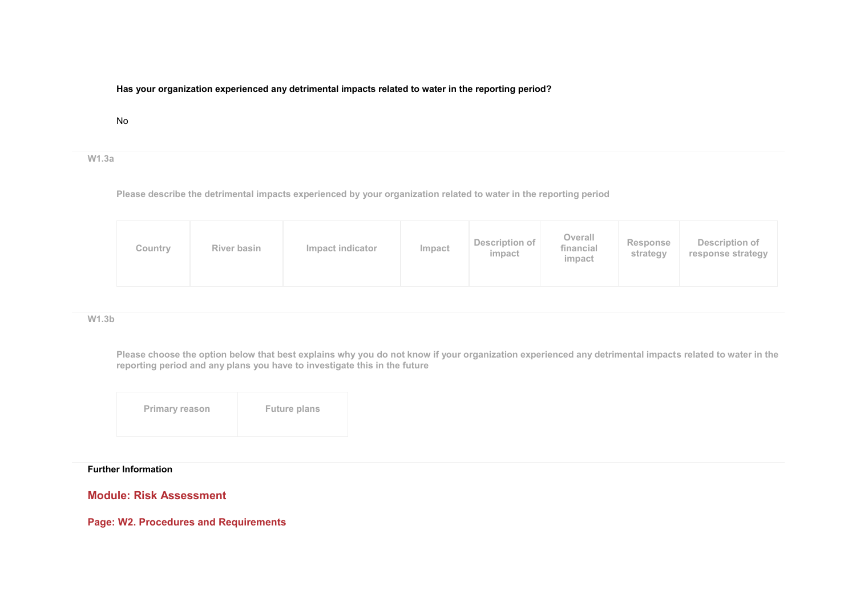## **Has your organization experienced any detrimental impacts related to water in the reporting period?**

### No

#### **W1.3a**

**Please describe the detrimental impacts experienced by your organization related to water in the reporting period**

### **W1.3b**

**Please choose the option below that best explains why you do not know if your organization experienced any detrimental impacts related to water in the reporting period and any plans you have to investigate this in the future**

| <b>Future plans</b><br><b>Primary reason</b> |
|----------------------------------------------|
|----------------------------------------------|

## **Further Information**

## **Module: Risk Assessment**

**Page: W2. Procedures and Requirements**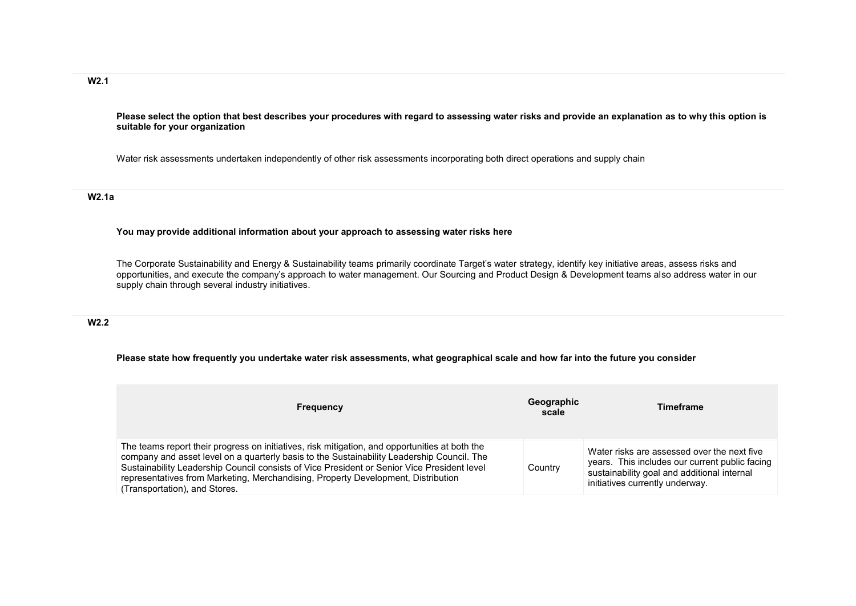# **W2.1**

**Please select the option that best describes your procedures with regard to assessing water risks and provide an explanation as to why this option is suitable for your organization**

Water risk assessments undertaken independently of other risk assessments incorporating both direct operations and supply chain

#### **W2.1a**

#### **You may provide additional information about your approach to assessing water risks here**

The Corporate Sustainability and Energy & Sustainability teams primarily coordinate Target's water strategy, identify key initiative areas, assess risks and opportunities, and execute the company's approach to water management. Our Sourcing and Product Design & Development teams also address water in our supply chain through several industry initiatives.

### **W2.2**

#### **Please state how frequently you undertake water risk assessments, what geographical scale and how far into the future you consider**

| <b>Frequency</b>                                                                                                                                                                                                                                                                                                                                                                                                  | Geographic<br>scale | Timeframe                                                                                                                                                                       |
|-------------------------------------------------------------------------------------------------------------------------------------------------------------------------------------------------------------------------------------------------------------------------------------------------------------------------------------------------------------------------------------------------------------------|---------------------|---------------------------------------------------------------------------------------------------------------------------------------------------------------------------------|
| The teams report their progress on initiatives, risk mitigation, and opportunities at both the<br>company and asset level on a quarterly basis to the Sustainability Leadership Council. The<br>Sustainability Leadership Council consists of Vice President or Senior Vice President level<br>representatives from Marketing, Merchandising, Property Development, Distribution<br>(Transportation), and Stores. | Country             | Water risks are assessed over the next five<br>years. This includes our current public facing<br>sustainability goal and additional internal<br>initiatives currently underway. |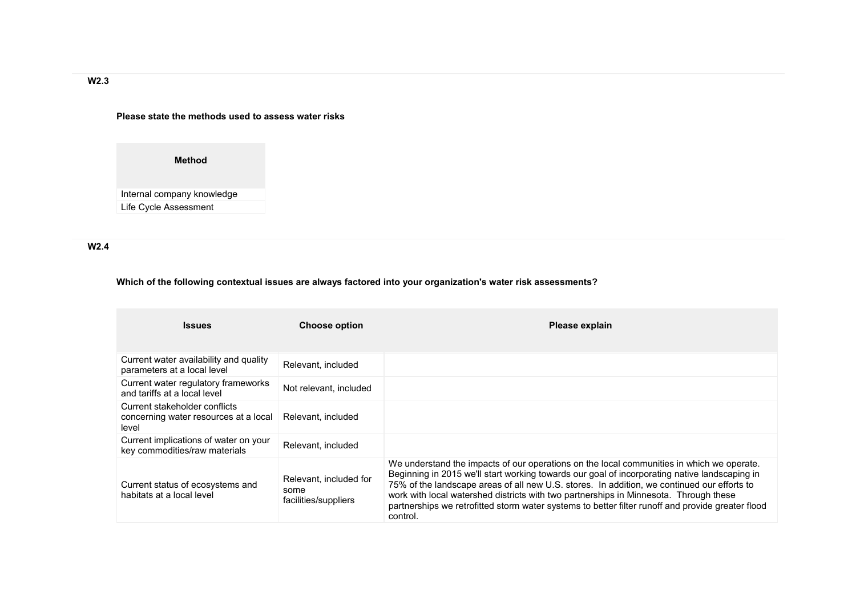## **Please state the methods used to assess water risks**

**Method**

Internal company knowledge Life Cycle Assessment

**W2.4** 

# **Which of the following contextual issues are always factored into your organization's water risk assessments?**

| <b>Issues</b>                                                                   | <b>Choose option</b>                                   | Please explain                                                                                                                                                                                                                                                                                                                                                                                                                                                                                      |
|---------------------------------------------------------------------------------|--------------------------------------------------------|-----------------------------------------------------------------------------------------------------------------------------------------------------------------------------------------------------------------------------------------------------------------------------------------------------------------------------------------------------------------------------------------------------------------------------------------------------------------------------------------------------|
| Current water availability and quality<br>parameters at a local level           | Relevant, included                                     |                                                                                                                                                                                                                                                                                                                                                                                                                                                                                                     |
| Current water regulatory frameworks<br>and tariffs at a local level             | Not relevant, included                                 |                                                                                                                                                                                                                                                                                                                                                                                                                                                                                                     |
| Current stakeholder conflicts<br>concerning water resources at a local<br>level | Relevant, included                                     |                                                                                                                                                                                                                                                                                                                                                                                                                                                                                                     |
| Current implications of water on your<br>key commodities/raw materials          | Relevant, included                                     |                                                                                                                                                                                                                                                                                                                                                                                                                                                                                                     |
| Current status of ecosystems and<br>habitats at a local level                   | Relevant, included for<br>some<br>facilities/suppliers | We understand the impacts of our operations on the local communities in which we operate.<br>Beginning in 2015 we'll start working towards our goal of incorporating native landscaping in<br>75% of the landscape areas of all new U.S. stores. In addition, we continued our efforts to<br>work with local watershed districts with two partnerships in Minnesota. Through these<br>partnerships we retrofitted storm water systems to better filter runoff and provide greater flood<br>control. |

**W2.3**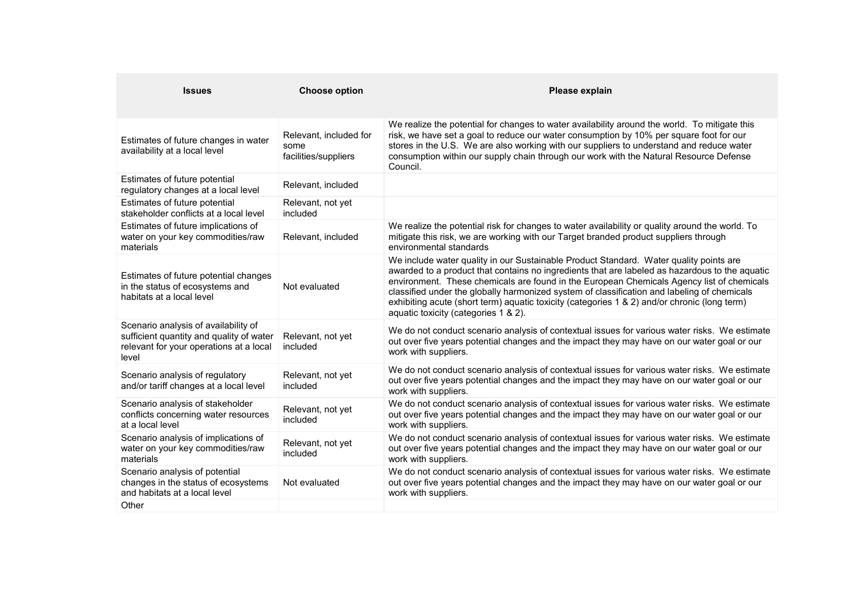| <b>Issues</b>                                                                                                                        | <b>Choose option</b>                                   | Please explain                                                                                                                                                                                                                                                                                                                                                                                                                                                                                                               |
|--------------------------------------------------------------------------------------------------------------------------------------|--------------------------------------------------------|------------------------------------------------------------------------------------------------------------------------------------------------------------------------------------------------------------------------------------------------------------------------------------------------------------------------------------------------------------------------------------------------------------------------------------------------------------------------------------------------------------------------------|
| Estimates of future changes in water<br>availability at a local level                                                                | Relevant, included for<br>some<br>facilities/suppliers | We realize the potential for changes to water availability around the world. To mitigate this<br>risk, we have set a goal to reduce our water consumption by 10% per square foot for our<br>stores in the U.S. We are also working with our suppliers to understand and reduce water<br>consumption within our supply chain through our work with the Natural Resource Defense<br>Council.                                                                                                                                   |
| Estimates of future potential<br>regulatory changes at a local level                                                                 | Relevant, included                                     |                                                                                                                                                                                                                                                                                                                                                                                                                                                                                                                              |
| Estimates of future potential<br>stakeholder conflicts at a local level                                                              | Relevant, not yet<br>included                          |                                                                                                                                                                                                                                                                                                                                                                                                                                                                                                                              |
| Estimates of future implications of<br>water on your key commodities/raw<br>materials                                                | Relevant, included                                     | We realize the potential risk for changes to water availability or quality around the world. To<br>mitigate this risk, we are working with our Target branded product suppliers through<br>environmental standards                                                                                                                                                                                                                                                                                                           |
| Estimates of future potential changes<br>in the status of ecosystems and<br>habitats at a local level                                | Not evaluated                                          | We include water quality in our Sustainable Product Standard. Water quality points are<br>awarded to a product that contains no ingredients that are labeled as hazardous to the aquatic<br>environment. These chemicals are found in the European Chemicals Agency list of chemicals<br>classified under the globally harmonized system of classification and labeling of chemicals<br>exhibiting acute (short term) aquatic toxicity (categories 1 & 2) and/or chronic (long term)<br>aquatic toxicity (categories 1 & 2). |
| Scenario analysis of availability of<br>sufficient quantity and quality of water<br>relevant for your operations at a local<br>level | Relevant, not yet<br>included                          | We do not conduct scenario analysis of contextual issues for various water risks. We estimate<br>out over five years potential changes and the impact they may have on our water goal or our<br>work with suppliers.                                                                                                                                                                                                                                                                                                         |
| Scenario analysis of regulatory<br>and/or tariff changes at a local level                                                            | Relevant, not yet<br>included                          | We do not conduct scenario analysis of contextual issues for various water risks. We estimate<br>out over five years potential changes and the impact they may have on our water goal or our<br>work with suppliers.                                                                                                                                                                                                                                                                                                         |
| Scenario analysis of stakeholder<br>conflicts concerning water resources<br>at a local level                                         | Relevant, not yet<br>included                          | We do not conduct scenario analysis of contextual issues for various water risks. We estimate<br>out over five years potential changes and the impact they may have on our water goal or our<br>work with suppliers.                                                                                                                                                                                                                                                                                                         |
| Scenario analysis of implications of<br>water on your key commodities/raw<br>materials                                               | Relevant, not yet<br>included                          | We do not conduct scenario analysis of contextual issues for various water risks. We estimate<br>out over five years potential changes and the impact they may have on our water goal or our<br>work with suppliers.                                                                                                                                                                                                                                                                                                         |
| Scenario analysis of potential<br>changes in the status of ecosystems<br>and habitats at a local level                               | Not evaluated                                          | We do not conduct scenario analysis of contextual issues for various water risks. We estimate<br>out over five years potential changes and the impact they may have on our water goal or our<br>work with suppliers.                                                                                                                                                                                                                                                                                                         |
| Other                                                                                                                                |                                                        |                                                                                                                                                                                                                                                                                                                                                                                                                                                                                                                              |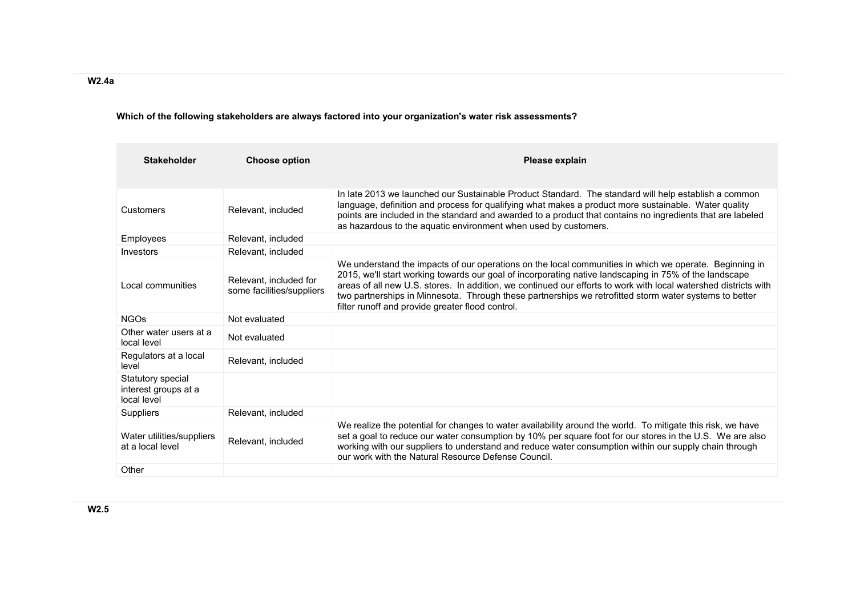# **Which of the following stakeholders are always factored into your organization's water risk assessments?**

| <b>Stakeholder</b>                                       | <b>Choose option</b>                                | <b>Please explain</b>                                                                                                                                                                                                                                                                                                                                                                                                                                                                             |
|----------------------------------------------------------|-----------------------------------------------------|---------------------------------------------------------------------------------------------------------------------------------------------------------------------------------------------------------------------------------------------------------------------------------------------------------------------------------------------------------------------------------------------------------------------------------------------------------------------------------------------------|
| Customers                                                | Relevant, included                                  | In late 2013 we launched our Sustainable Product Standard. The standard will help establish a common<br>language, definition and process for qualifying what makes a product more sustainable. Water quality<br>points are included in the standard and awarded to a product that contains no ingredients that are labeled<br>as hazardous to the aquatic environment when used by customers.                                                                                                     |
| Employees                                                | Relevant, included                                  |                                                                                                                                                                                                                                                                                                                                                                                                                                                                                                   |
| Investors                                                | Relevant, included                                  |                                                                                                                                                                                                                                                                                                                                                                                                                                                                                                   |
| Local communities                                        | Relevant, included for<br>some facilities/suppliers | We understand the impacts of our operations on the local communities in which we operate. Beginning in<br>2015, we'll start working towards our goal of incorporating native landscaping in 75% of the landscape<br>areas of all new U.S. stores. In addition, we continued our efforts to work with local watershed districts with<br>two partnerships in Minnesota. Through these partnerships we retrofitted storm water systems to better<br>filter runoff and provide greater flood control. |
| <b>NGOs</b>                                              | Not evaluated                                       |                                                                                                                                                                                                                                                                                                                                                                                                                                                                                                   |
| Other water users at a<br>local level                    | Not evaluated                                       |                                                                                                                                                                                                                                                                                                                                                                                                                                                                                                   |
| Regulators at a local<br>level                           | Relevant, included                                  |                                                                                                                                                                                                                                                                                                                                                                                                                                                                                                   |
| Statutory special<br>interest groups at a<br>local level |                                                     |                                                                                                                                                                                                                                                                                                                                                                                                                                                                                                   |
| <b>Suppliers</b>                                         | Relevant, included                                  |                                                                                                                                                                                                                                                                                                                                                                                                                                                                                                   |
| Water utilities/suppliers<br>at a local level            | Relevant, included                                  | We realize the potential for changes to water availability around the world. To mitigate this risk, we have<br>set a goal to reduce our water consumption by 10% per square foot for our stores in the U.S. We are also<br>working with our suppliers to understand and reduce water consumption within our supply chain through<br>our work with the Natural Resource Defense Council.                                                                                                           |
| Other                                                    |                                                     |                                                                                                                                                                                                                                                                                                                                                                                                                                                                                                   |

**W2.4a**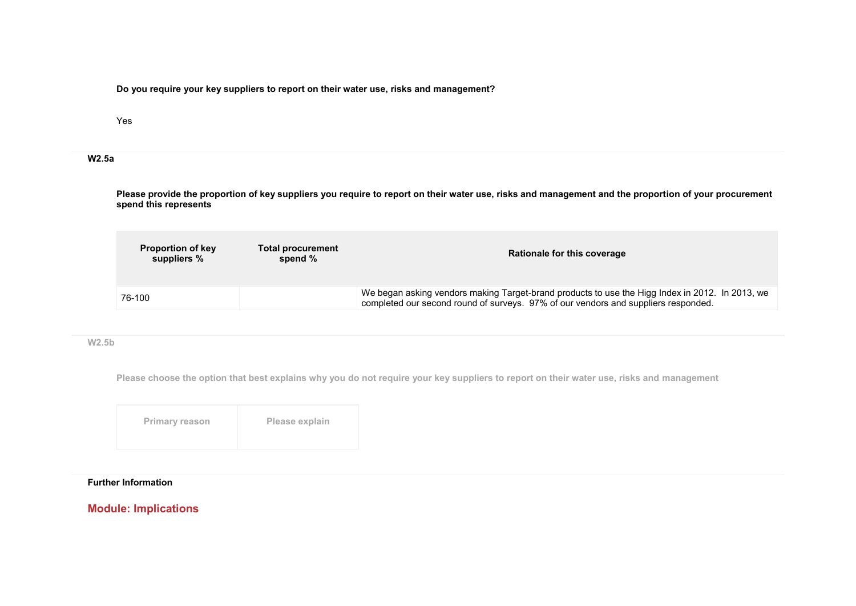**Do you require your key suppliers to report on their water use, risks and management?**

Yes

### **W2.5a**

**Please provide the proportion of key suppliers you require to report on their water use, risks and management and the proportion of your procurement spend this represents**

| <b>Proportion of key</b><br>suppliers % | <b>Total procurement</b><br>spend % | Rationale for this coverage                                                                                                                                                           |
|-----------------------------------------|-------------------------------------|---------------------------------------------------------------------------------------------------------------------------------------------------------------------------------------|
| 76-100                                  |                                     | We began asking vendors making Target-brand products to use the Higg Index in 2012. In 2013, we<br>completed our second round of surveys. 97% of our vendors and suppliers responded. |

#### **W2.5b**

**Please choose the option that best explains why you do not require your key suppliers to report on their water use, risks and management**

| Primary reason | Please explain |
|----------------|----------------|
|----------------|----------------|

# **Further Information**

# **Module: Implications**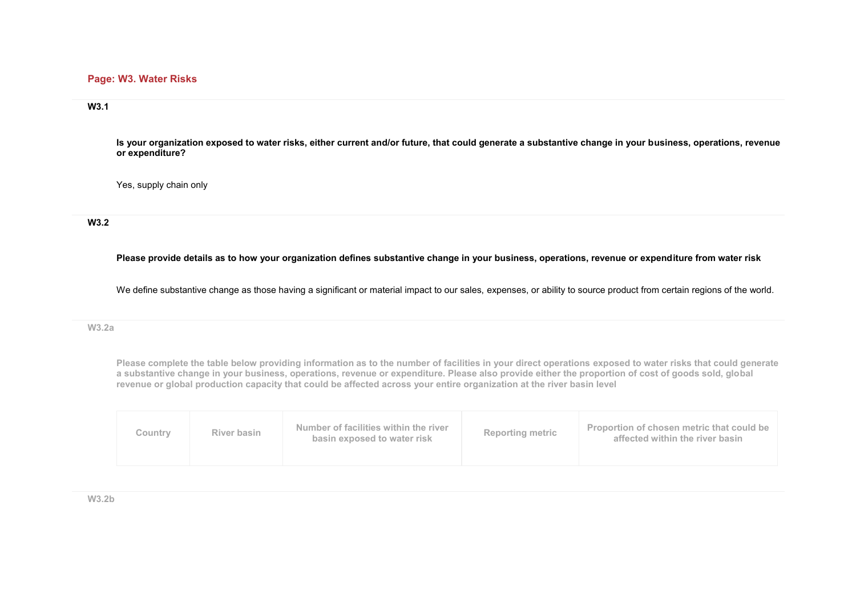## **Page: W3. Water Risks**

### **W3.1**

**Is your organization exposed to water risks, either current and/or future, that could generate a substantive change in your business, operations, revenue or expenditure?**

Yes, supply chain only

## **W3.2**

**Please provide details as to how your organization defines substantive change in your business, operations, revenue or expenditure from water risk**

We define substantive change as those having a significant or material impact to our sales, expenses, or ability to source product from certain regions of the world.

#### **W3.2a**

**Please complete the table below providing information as to the number of facilities in your direct operations exposed to water risks that could generate a substantive change in your business, operations, revenue or expenditure. Please also provide either the proportion of cost of goods sold, global revenue or global production capacity that could be affected across your entire organization at the river basin level**

| River basin<br>Countrv | Number of facilities within the river<br><b>Reporting metric</b><br>basin exposed to water risk | <b>Proportion of chosen metric that could be</b><br>affected within the river basin |
|------------------------|-------------------------------------------------------------------------------------------------|-------------------------------------------------------------------------------------|
|------------------------|-------------------------------------------------------------------------------------------------|-------------------------------------------------------------------------------------|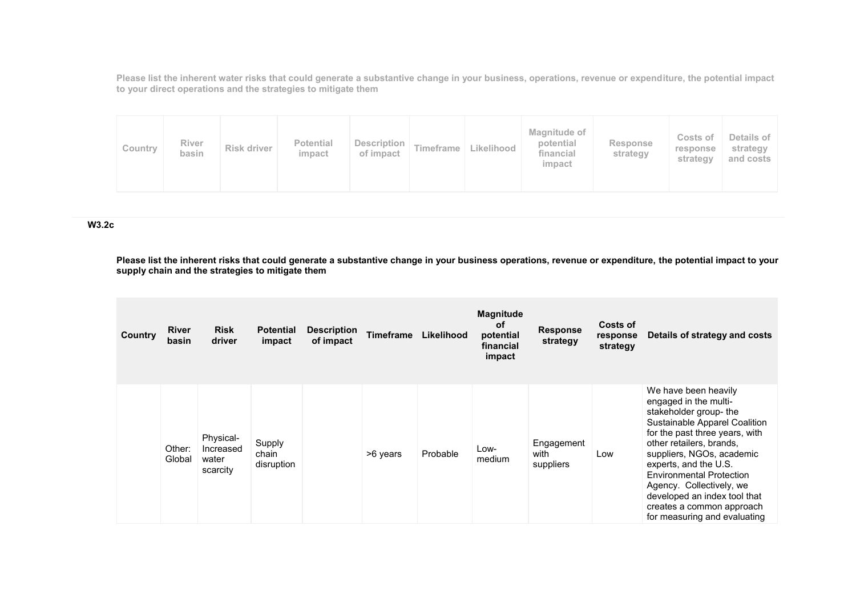**Please list the inherent water risks that could generate a substantive change in your business, operations, revenue or expenditure, the potential impact to your direct operations and the strategies to mitigate them**

| <b>Potential</b><br>Description<br>River<br>Timeframe<br>Risk driver<br>Country<br>basin<br>impact<br>of impact | Magnitude of<br>Details of<br>Costs of<br>potential<br>Response<br>Likelihood<br>strategy<br>response<br>financial<br>strategy<br>strategy<br>and costs<br>impact |
|-----------------------------------------------------------------------------------------------------------------|-------------------------------------------------------------------------------------------------------------------------------------------------------------------|
|-----------------------------------------------------------------------------------------------------------------|-------------------------------------------------------------------------------------------------------------------------------------------------------------------|

### **W3.2c**

**Please list the inherent risks that could generate a substantive change in your business operations, revenue or expenditure, the potential impact to your supply chain and the strategies to mitigate them**

| Country | <b>River</b><br>basin | <b>Risk</b><br>driver                       | <b>Potential</b><br>impact    | <b>Description</b><br>of impact | <b>Timeframe</b> | Likelihood | <b>Magnitude</b><br>оf<br>potential<br>financial<br>impact | <b>Response</b><br>strategy     | Costs of<br>response<br>strategy | Details of strategy and costs                                                                                                                                                                                                                                                                                                                                                            |
|---------|-----------------------|---------------------------------------------|-------------------------------|---------------------------------|------------------|------------|------------------------------------------------------------|---------------------------------|----------------------------------|------------------------------------------------------------------------------------------------------------------------------------------------------------------------------------------------------------------------------------------------------------------------------------------------------------------------------------------------------------------------------------------|
|         | Other:<br>Global      | Physical-<br>Increased<br>water<br>scarcity | Supply<br>chain<br>disruption |                                 | >6 years         | Probable   | Low-<br>medium                                             | Engagement<br>with<br>suppliers | Low                              | We have been heavily<br>engaged in the multi-<br>stakeholder group- the<br>Sustainable Apparel Coalition<br>for the past three years, with<br>other retailers, brands,<br>suppliers, NGOs, academic<br>experts, and the U.S.<br><b>Environmental Protection</b><br>Agency. Collectively, we<br>developed an index tool that<br>creates a common approach<br>for measuring and evaluating |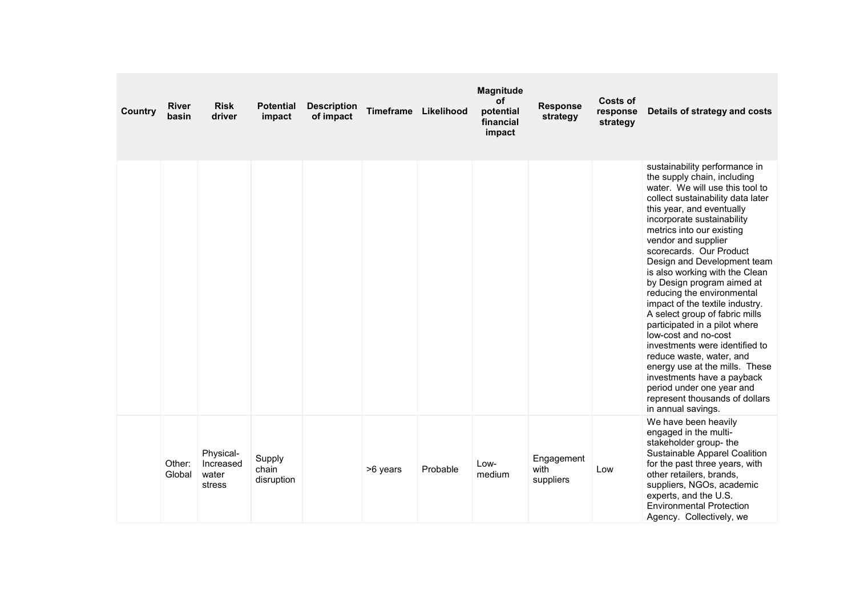| Country | <b>River</b><br>basin | <b>Risk</b><br>driver                     | <b>Potential</b><br>impact    | <b>Description</b><br>of impact | Timeframe Likelihood |          | <b>Magnitude</b><br>of<br>potential<br>financial<br>impact | <b>Response</b><br>strategy     | <b>Costs of</b><br>response<br>strategy | Details of strategy and costs                                                                                                                                                                                                                                                                                                                                                                                                                                                                                                                                                                                                                                                                                                                                |
|---------|-----------------------|-------------------------------------------|-------------------------------|---------------------------------|----------------------|----------|------------------------------------------------------------|---------------------------------|-----------------------------------------|--------------------------------------------------------------------------------------------------------------------------------------------------------------------------------------------------------------------------------------------------------------------------------------------------------------------------------------------------------------------------------------------------------------------------------------------------------------------------------------------------------------------------------------------------------------------------------------------------------------------------------------------------------------------------------------------------------------------------------------------------------------|
|         |                       |                                           |                               |                                 |                      |          |                                                            |                                 |                                         | sustainability performance in<br>the supply chain, including<br>water. We will use this tool to<br>collect sustainability data later<br>this year, and eventually<br>incorporate sustainability<br>metrics into our existing<br>vendor and supplier<br>scorecards. Our Product<br>Design and Development team<br>is also working with the Clean<br>by Design program aimed at<br>reducing the environmental<br>impact of the textile industry.<br>A select group of fabric mills<br>participated in a pilot where<br>low-cost and no-cost<br>investments were identified to<br>reduce waste, water, and<br>energy use at the mills. These<br>investments have a payback<br>period under one year and<br>represent thousands of dollars<br>in annual savings. |
|         | Other:<br>Global      | Physical-<br>Increased<br>water<br>stress | Supply<br>chain<br>disruption |                                 | >6 years             | Probable | Low-<br>medium                                             | Engagement<br>with<br>suppliers | Low                                     | We have been heavily<br>engaged in the multi-<br>stakeholder group- the<br>Sustainable Apparel Coalition<br>for the past three years, with<br>other retailers, brands,<br>suppliers, NGOs, academic<br>experts, and the U.S.<br><b>Environmental Protection</b><br>Agency. Collectively, we                                                                                                                                                                                                                                                                                                                                                                                                                                                                  |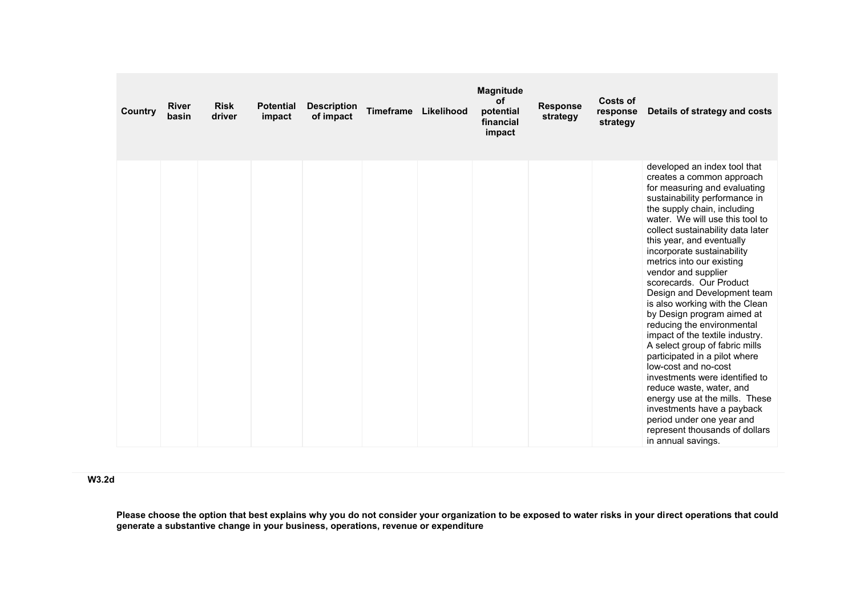| Country | <b>River</b><br>basin | <b>Risk</b><br>driver | <b>Potential</b><br>impact | <b>Description</b><br>of impact | <b>Timeframe</b> | Likelihood | <b>Magnitude</b><br>of<br>potential<br>financial<br>impact | <b>Response</b><br>strategy | Costs of<br>response<br>strategy | Details of strategy and costs                                                                                                                                                                                                                                                                                                                                                                                                                                                                                                                                                                                                                                                                                                                                                                                                                             |
|---------|-----------------------|-----------------------|----------------------------|---------------------------------|------------------|------------|------------------------------------------------------------|-----------------------------|----------------------------------|-----------------------------------------------------------------------------------------------------------------------------------------------------------------------------------------------------------------------------------------------------------------------------------------------------------------------------------------------------------------------------------------------------------------------------------------------------------------------------------------------------------------------------------------------------------------------------------------------------------------------------------------------------------------------------------------------------------------------------------------------------------------------------------------------------------------------------------------------------------|
|         |                       |                       |                            |                                 |                  |            |                                                            |                             |                                  | developed an index tool that<br>creates a common approach<br>for measuring and evaluating<br>sustainability performance in<br>the supply chain, including<br>water. We will use this tool to<br>collect sustainability data later<br>this year, and eventually<br>incorporate sustainability<br>metrics into our existing<br>vendor and supplier<br>scorecards. Our Product<br>Design and Development team<br>is also working with the Clean<br>by Design program aimed at<br>reducing the environmental<br>impact of the textile industry.<br>A select group of fabric mills<br>participated in a pilot where<br>low-cost and no-cost<br>investments were identified to<br>reduce waste, water, and<br>energy use at the mills. These<br>investments have a payback<br>period under one year and<br>represent thousands of dollars<br>in annual savings. |

**W3.2d** 

**Please choose the option that best explains why you do not consider your organization to be exposed to water risks in your direct operations that could generate a substantive change in your business, operations, revenue or expenditure**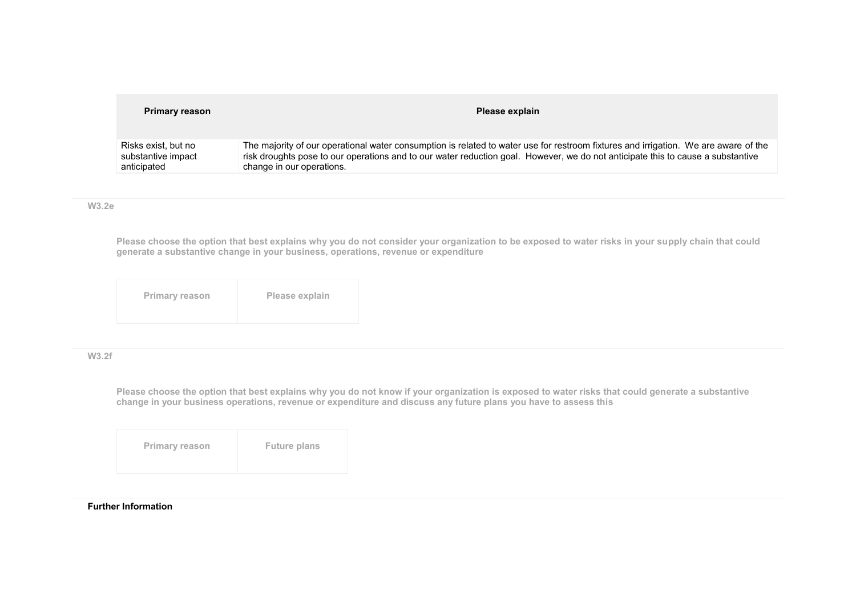| <b>Primary reason</b> | Please explain                                                                                                                      |
|-----------------------|-------------------------------------------------------------------------------------------------------------------------------------|
| Risks exist, but no   | The majority of our operational water consumption is related to water use for restroom fixtures and irrigation. We are aware of the |
| substantive impact    | risk droughts pose to our operations and to our water reduction goal. However, we do not anticipate this to cause a substantive     |
| anticipated           | change in our operations.                                                                                                           |

**W3.2e** 

**Please choose the option that best explains why you do not consider your organization to be exposed to water risks in your supply chain that could generate a substantive change in your business, operations, revenue or expenditure**

| <b>Primary reason</b> | Please explain |
|-----------------------|----------------|
|                       |                |

### **W3.2f**

**Please choose the option that best explains why you do not know if your organization is exposed to water risks that could generate a substantive change in your business operations, revenue or expenditure and discuss any future plans you have to assess this**

| <b>Primary reason</b> | <b>Future plans</b> |
|-----------------------|---------------------|
|                       |                     |

#### **Further Information**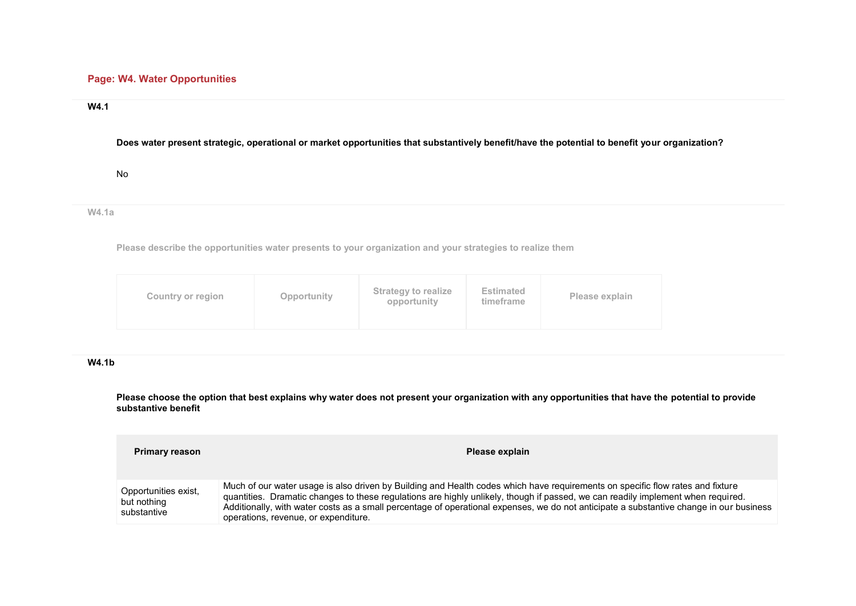# **Page: W4. Water Opportunities**

### **W4.1**

## **Does water present strategic, operational or market opportunities that substantively benefit/have the potential to benefit your organization?**

No

**W4.1a** 

**Please describe the opportunities water presents to your organization and your strategies to realize them**

| <b>Strategy to realize</b><br><b>Estimated</b><br>Opportunity<br>Please explain<br>Country or region<br>opportunity<br>timeframe |  |
|----------------------------------------------------------------------------------------------------------------------------------|--|
|----------------------------------------------------------------------------------------------------------------------------------|--|

## **W4.1b**

**Please choose the option that best explains why water does not present your organization with any opportunities that have the potential to provide substantive benefit**

| <b>Primary reason</b>                              | Please explain                                                                                                                                                                                                                                                                                                                                                                                                                                        |
|----------------------------------------------------|-------------------------------------------------------------------------------------------------------------------------------------------------------------------------------------------------------------------------------------------------------------------------------------------------------------------------------------------------------------------------------------------------------------------------------------------------------|
| Opportunities exist,<br>but nothing<br>substantive | Much of our water usage is also driven by Building and Health codes which have requirements on specific flow rates and fixture<br>quantities. Dramatic changes to these regulations are highly unlikely, though if passed, we can readily implement when required.<br>Additionally, with water costs as a small percentage of operational expenses, we do not anticipate a substantive change in our business<br>operations, revenue, or expenditure. |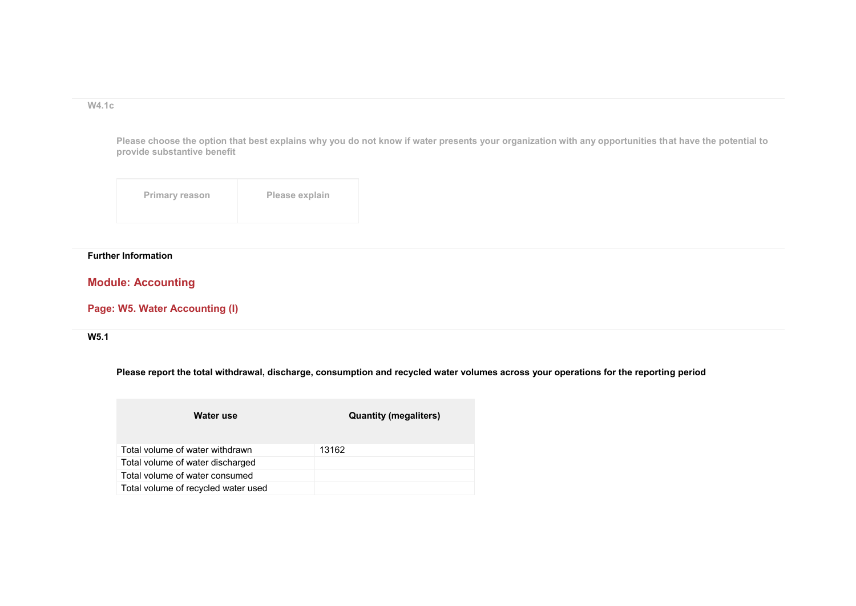**W4.1c** 

**Please choose the option that best explains why you do not know if water presents your organization with any opportunities that have the potential to provide substantive benefit**

| <b>Primary reason</b> | Please explain |
|-----------------------|----------------|
|-----------------------|----------------|

## **Further Information**

# **Module: Accounting**

# **Page: W5. Water Accounting (I)**

**W5.1** 

**Please report the total withdrawal, discharge, consumption and recycled water volumes across your operations for the reporting period**

| Water use                           | <b>Quantity (megaliters)</b> |
|-------------------------------------|------------------------------|
| Total volume of water withdrawn     | 13162                        |
| Total volume of water discharged    |                              |
| Total volume of water consumed      |                              |
| Total volume of recycled water used |                              |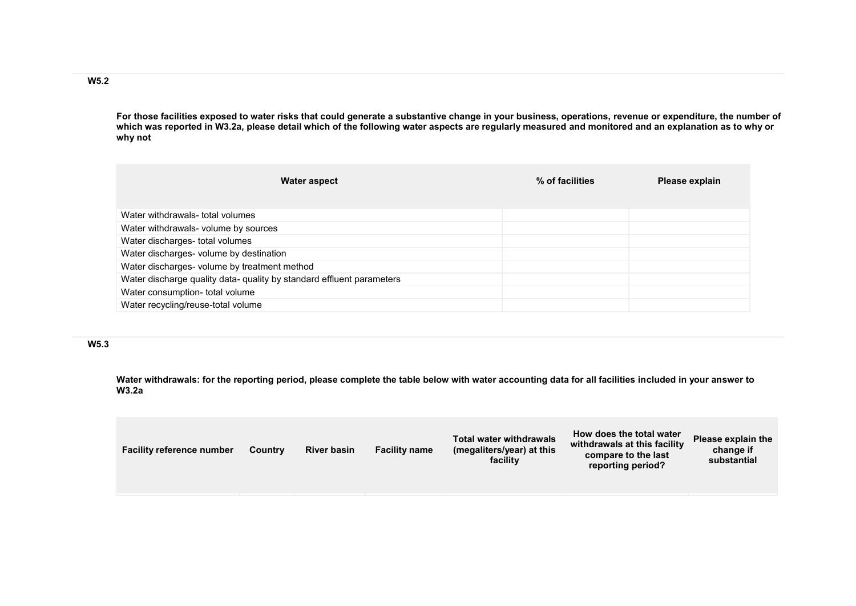**For those facilities exposed to water risks that could generate a substantive change in your business, operations, revenue or expenditure, the number of which was reported in W3.2a, please detail which of the following water aspects are regularly measured and monitored and an explanation as to why or why not**

| <b>Water aspect</b>                                                   | % of facilities | Please explain |
|-----------------------------------------------------------------------|-----------------|----------------|
|                                                                       |                 |                |
| Water withdrawals- total volumes                                      |                 |                |
| Water withdrawals- volume by sources                                  |                 |                |
| Water discharges- total volumes                                       |                 |                |
| Water discharges- volume by destination                               |                 |                |
| Water discharges- volume by treatment method                          |                 |                |
| Water discharge quality data- quality by standard effluent parameters |                 |                |
| Water consumption- total volume                                       |                 |                |
| Water recycling/reuse-total volume                                    |                 |                |

### **W5.3**

**Water withdrawals: for the reporting period, please complete the table below with water accounting data for all facilities included in your answer to W3.2a**

| facility<br>substantial<br>reporting period? | <b>Facility name</b><br><b>River basin</b><br><b>Facility reference number</b><br>Country | <b>Total water withdrawals</b><br>(megaliters/year) at this | How does the total water<br>withdrawals at this facility<br>compare to the last | Please explain the<br>change if |
|----------------------------------------------|-------------------------------------------------------------------------------------------|-------------------------------------------------------------|---------------------------------------------------------------------------------|---------------------------------|
|----------------------------------------------|-------------------------------------------------------------------------------------------|-------------------------------------------------------------|---------------------------------------------------------------------------------|---------------------------------|

**W5.2**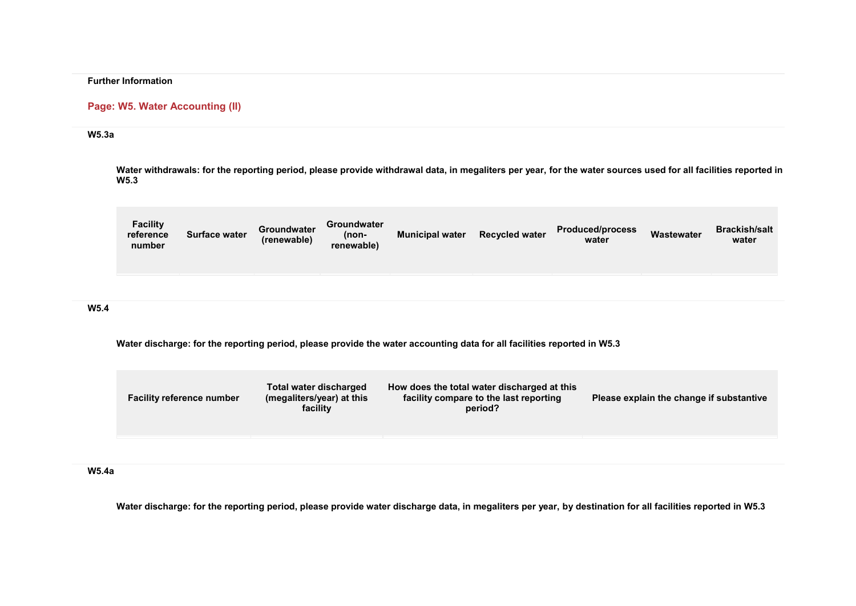### **Further Information**

### **Page: W5. Water Accounting (II)**

### **W5.3a**

**Water withdrawals: for the reporting period, please provide withdrawal data, in megaliters per year, for the water sources used for all facilities reported in W5.3**

| <b>Facility</b><br>reference<br>number | <b>Surface water</b> | Groundwater<br>(renewable) | Groundwater<br>(non-<br>renewable) | <b>Municipal water</b> | <b>Recycled water</b> | <b>Produced/process</b><br>water | <b>Wastewater</b> | <b>Brackish/salt</b><br>water |
|----------------------------------------|----------------------|----------------------------|------------------------------------|------------------------|-----------------------|----------------------------------|-------------------|-------------------------------|
|                                        |                      |                            |                                    |                        |                       |                                  |                   |                               |

## **W5.4**

**Water discharge: for the reporting period, please provide the water accounting data for all facilities reported in W5.3**

| <b>Facility reference number</b> | Total water discharged<br>(megaliters/year) at this<br>facility | How does the total water discharged at this<br>facility compare to the last reporting<br>period? | Please explain the change if substantive |
|----------------------------------|-----------------------------------------------------------------|--------------------------------------------------------------------------------------------------|------------------------------------------|
|                                  |                                                                 |                                                                                                  |                                          |

### **W5.4a**

**Water discharge: for the reporting period, please provide water discharge data, in megaliters per year, by destination for all facilities reported in W5.3**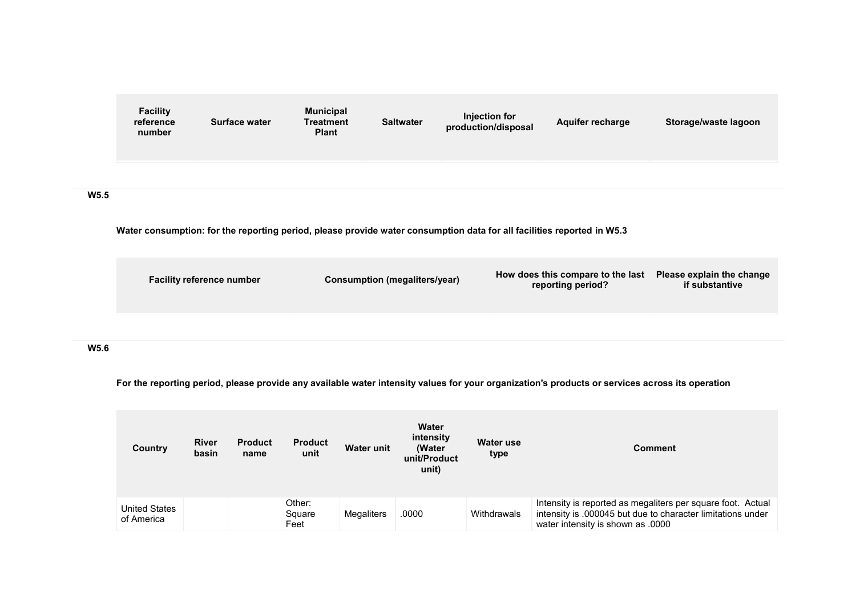|                  | <b>Facility</b><br>reference<br>number | <b>Surface water</b>             | <b>Municipal</b><br><b>Treatment</b><br><b>Plant</b> | <b>Saltwater</b>                     | <b>Injection for</b><br>production/disposal | Aquifer recharge                                                                                                       | Storage/waste lagoon                        |
|------------------|----------------------------------------|----------------------------------|------------------------------------------------------|--------------------------------------|---------------------------------------------|------------------------------------------------------------------------------------------------------------------------|---------------------------------------------|
|                  |                                        |                                  |                                                      |                                      |                                             |                                                                                                                        |                                             |
| W <sub>5.5</sub> |                                        |                                  |                                                      |                                      |                                             |                                                                                                                        |                                             |
|                  |                                        |                                  |                                                      |                                      |                                             | Water consumption: for the reporting period, please provide water consumption data for all facilities reported in W5.3 |                                             |
|                  |                                        | <b>Facility reference number</b> |                                                      | <b>Consumption (megaliters/year)</b> |                                             | How does this compare to the last<br>reporting period?                                                                 | Please explain the change<br>if substantive |
|                  |                                        |                                  |                                                      |                                      |                                             |                                                                                                                        |                                             |

# **W5.6**

**For the reporting period, please provide any available water intensity values for your organization's products or services across its operation**

| Country                            | <b>River</b><br>basin | <b>Product</b><br>name | <b>Product</b><br>unit   | <b>Water unit</b> | Water<br>intensity<br>(Water<br>unit/Product<br>unit) | Water use<br>type | <b>Comment</b>                                                                                                                                                  |
|------------------------------------|-----------------------|------------------------|--------------------------|-------------------|-------------------------------------------------------|-------------------|-----------------------------------------------------------------------------------------------------------------------------------------------------------------|
| <b>United States</b><br>of America |                       |                        | Other:<br>Square<br>Feet | Megaliters        | .0000                                                 | Withdrawals       | Intensity is reported as megaliters per square foot. Actual<br>intensity is .000045 but due to character limitations under<br>water intensity is shown as .0000 |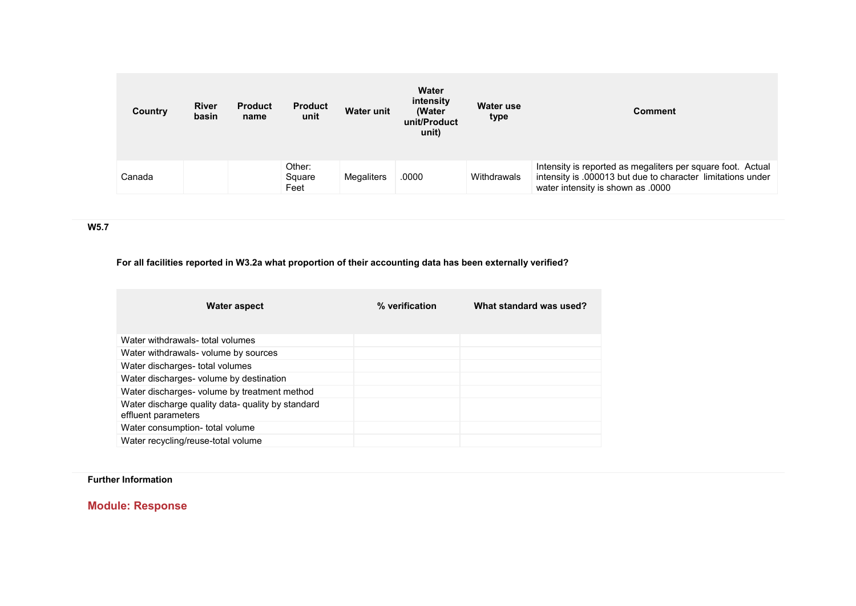| Country | <b>River</b><br>basin | <b>Product</b><br>name | <b>Product</b><br>unit   | <b>Water unit</b> | Water<br>intensity<br>(Water<br>unit/Product<br>unit) | Water use<br>type | <b>Comment</b>                                                                                                                                                  |
|---------|-----------------------|------------------------|--------------------------|-------------------|-------------------------------------------------------|-------------------|-----------------------------------------------------------------------------------------------------------------------------------------------------------------|
| Canada  |                       |                        | Other:<br>Square<br>Feet | Megaliters        | .0000                                                 | Withdrawals       | Intensity is reported as megaliters per square foot. Actual<br>intensity is .000013 but due to character limitations under<br>water intensity is shown as .0000 |

**W5.7** 

# **For all facilities reported in W3.2a what proportion of their accounting data has been externally verified?**

| Water aspect                                                             | % verification | What standard was used? |
|--------------------------------------------------------------------------|----------------|-------------------------|
| Water withdrawals- total volumes                                         |                |                         |
| Water withdrawals- volume by sources                                     |                |                         |
| Water discharges- total volumes                                          |                |                         |
| Water discharges- volume by destination                                  |                |                         |
| Water discharges- volume by treatment method                             |                |                         |
| Water discharge quality data- quality by standard<br>effluent parameters |                |                         |
| Water consumption- total volume                                          |                |                         |
| Water recycling/reuse-total volume                                       |                |                         |

**Further Information** 

**Module: Response**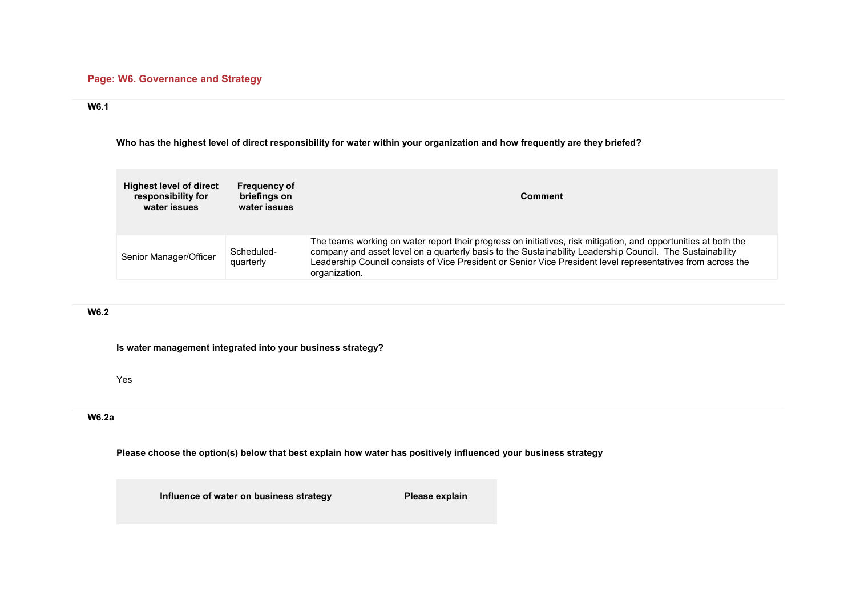## **Page: W6. Governance and Strategy**

## **W6.1**

**Who has the highest level of direct responsibility for water within your organization and how frequently are they briefed?**

| <b>Highest level of direct</b><br>responsibility for<br>water issues | <b>Frequency of</b><br>briefings on<br>water issues | <b>Comment</b>                                                                                                                                                                                                                                                                                                                                                |
|----------------------------------------------------------------------|-----------------------------------------------------|---------------------------------------------------------------------------------------------------------------------------------------------------------------------------------------------------------------------------------------------------------------------------------------------------------------------------------------------------------------|
| Senior Manager/Officer                                               | Scheduled-<br>quarterly                             | The teams working on water report their progress on initiatives, risk mitigation, and opportunities at both the<br>company and asset level on a quarterly basis to the Sustainability Leadership Council. The Sustainability<br>Leadership Council consists of Vice President or Senior Vice President level representatives from across the<br>organization. |

## **W6.2**

**Is water management integrated into your business strategy?**

Yes

## **W6.2a**

**Please choose the option(s) below that best explain how water has positively influenced your business strategy**

**Influence of water on business strategy Please explain**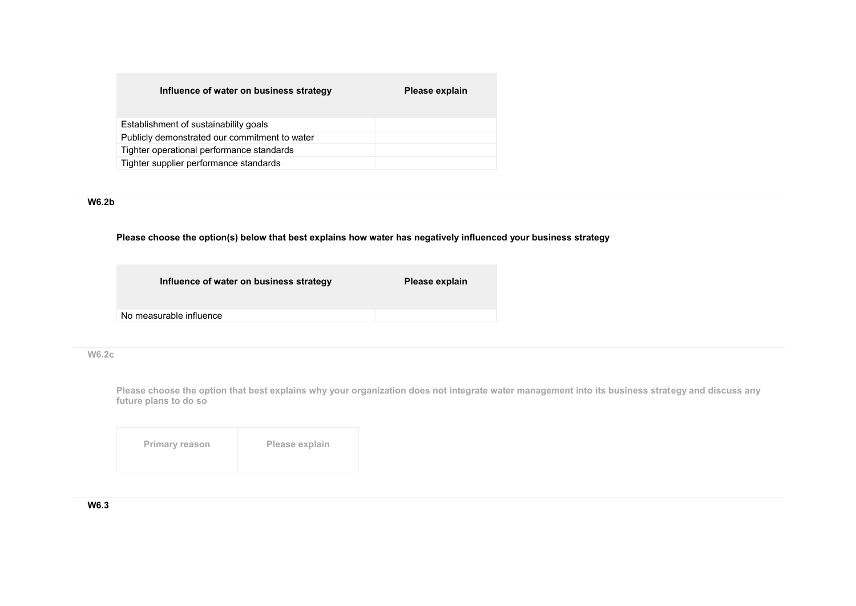### **Influence of water on business strategy entity Please explain**

| Establishment of sustainability goals         |  |
|-----------------------------------------------|--|
| Publicly demonstrated our commitment to water |  |
| Tighter operational performance standards     |  |
| Tighter supplier performance standards        |  |

## **W6.2b**

#### **Please choose the option(s) below that best explains how water has negatively influenced your business strategy**

| Influence of water on business strategy | Please explain |
|-----------------------------------------|----------------|
| No measurable influence                 |                |
|                                         |                |

## **W6.2c**

**Please choose the option that best explains why your organization does not integrate water management into its business strategy and discuss any future plans to do so**

| <b>Primary reason</b> | Please explain |
|-----------------------|----------------|
|                       |                |

**W6.3**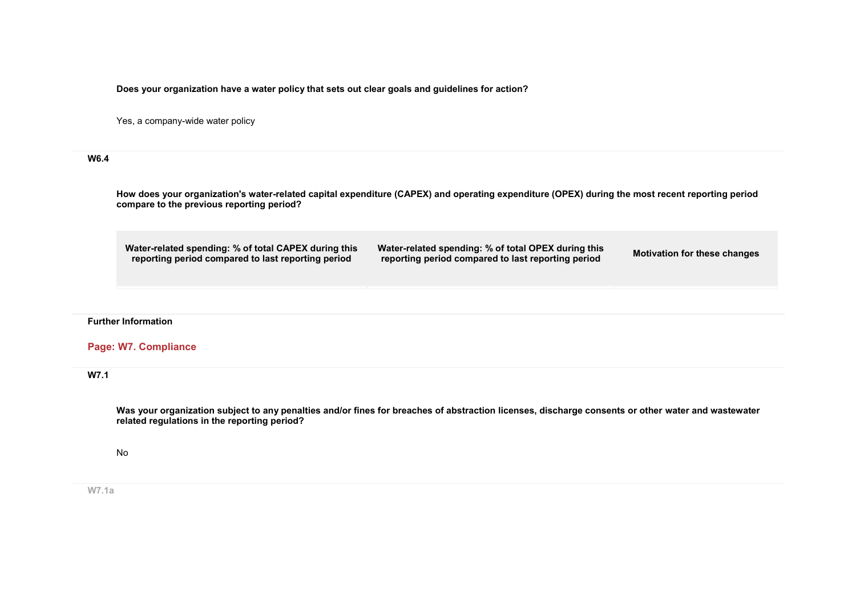**Does your organization have a water policy that sets out clear goals and guidelines for action?**

Yes, a company-wide water policy

#### **W6.4**

**How does your organization's water-related capital expenditure (CAPEX) and operating expenditure (OPEX) during the most recent reporting period compare to the previous reporting period?**

**Water-related spending: % of total CAPEX during this reporting period compared to last reporting period**

**Water-related spending: % of total OPEX during this reporting period compared to last reporting period Motivation for these changes**

#### **Further Information**

## **Page: W7. Compliance**

#### **W7.1**

**Was your organization subject to any penalties and/or fines for breaches of abstraction licenses, discharge consents or other water and wastewater related regulations in the reporting period?**

No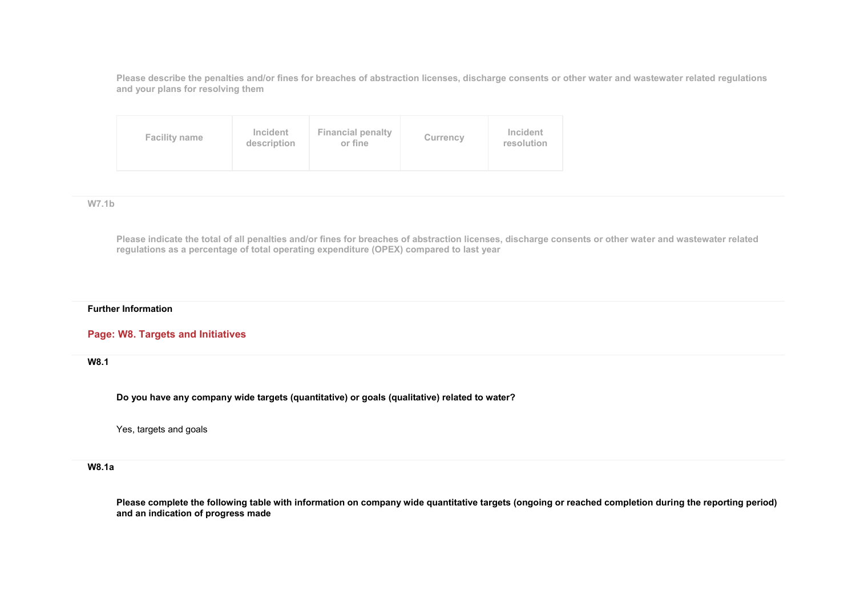**Please describe the penalties and/or fines for breaches of abstraction licenses, discharge consents or other water and wastewater related regulations and your plans for resolving them**

| <b>Facility name</b> | <b>Incident</b><br>description | <b>Financial penalty</b><br>or fine | Currency | Incident<br>resolution |
|----------------------|--------------------------------|-------------------------------------|----------|------------------------|
|----------------------|--------------------------------|-------------------------------------|----------|------------------------|

**W7.1b** 

**Please indicate the total of all penalties and/or fines for breaches of abstraction licenses, discharge consents or other water and wastewater related regulations as a percentage of total operating expenditure (OPEX) compared to last year**

#### **Further Information**

### **Page: W8. Targets and Initiatives**

**W8.1** 

**Do you have any company wide targets (quantitative) or goals (qualitative) related to water?**

Yes, targets and goals

### **W8.1a**

**Please complete the following table with information on company wide quantitative targets (ongoing or reached completion during the reporting period) and an indication of progress made**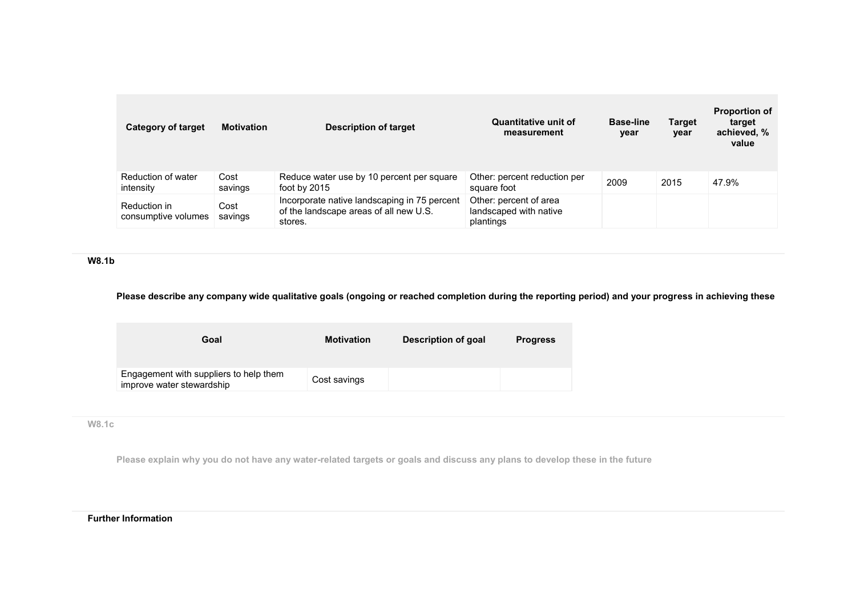| Category of target                  | <b>Motivation</b> | <b>Description of target</b>                                                                      | <b>Quantitative unit of</b><br>measurement                    | <b>Base-line</b><br>year | <b>Target</b><br>year | <b>Proportion of</b><br>target<br>achieved, %<br>value |
|-------------------------------------|-------------------|---------------------------------------------------------------------------------------------------|---------------------------------------------------------------|--------------------------|-----------------------|--------------------------------------------------------|
| Reduction of water<br>intensity     | Cost<br>savings   | Reduce water use by 10 percent per square<br>foot by 2015                                         | Other: percent reduction per<br>square foot                   | 2009                     | 2015                  | 47.9%                                                  |
| Reduction in<br>consumptive volumes | Cost<br>savings   | Incorporate native landscaping in 75 percent<br>of the landscape areas of all new U.S.<br>stores. | Other: percent of area<br>landscaped with native<br>plantings |                          |                       |                                                        |

**W8.1b** 

# **Please describe any company wide qualitative goals (ongoing or reached completion during the reporting period) and your progress in achieving these**

| Goal                                                                | <b>Motivation</b> | Description of goal | <b>Progress</b> |
|---------------------------------------------------------------------|-------------------|---------------------|-----------------|
| Engagement with suppliers to help them<br>improve water stewardship | Cost savings      |                     |                 |

## **W8.1c**

**Please explain why you do not have any water-related targets or goals and discuss any plans to develop these in the future**